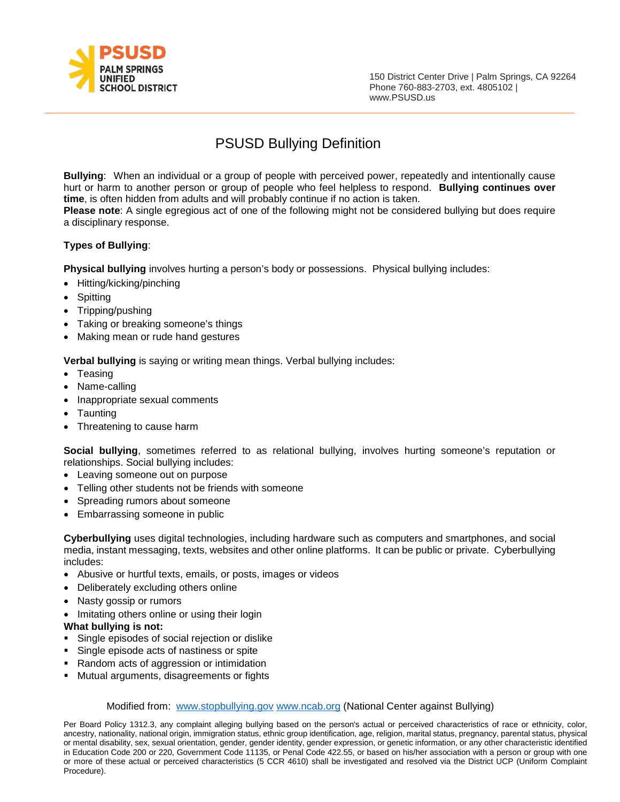

150 District Center Drive | Palm Springs, CA 92264 Phone 760-883-2703, e[xt. 4805102 |](http://www.psusd.us/)  [www.PSUSD.us](http://www.psusd.us/)

# PSUSD Bullying Definition

**Bullying**: When an individual or a group of people with perceived power, repeatedly and intentionally cause hurt or harm to another person or group of people who feel helpless to respond. **Bullying continues over time**, is often hidden from adults and will probably continue if no action is taken.

**Please note**: A single egregious act of one of the following might not be considered bullying but does require a disciplinary response.

### **Types of Bullying**:

**Physical bullying** involves hurting a person's body or possessions. Physical bullying includes:

- Hitting/kicking/pinching
- **Spitting**
- Tripping/pushing
- Taking or breaking someone's things
- Making mean or rude hand gestures

**Verbal bullying** is saying or writing mean things. Verbal bullying includes:

- Teasing
- Name-calling
- Inappropriate sexual comments
- Taunting
- Threatening to cause harm

**Social bullying**, sometimes referred to as relational bullying, involves hurting someone's reputation or relationships. Social bullying includes:

- Leaving someone out on purpose
- Telling other students not be friends with someone
- Spreading rumors about someone
- Embarrassing someone in public

**Cyberbullying** uses digital technologies, including hardware such as computers and smartphones, and social media, instant messaging, texts, websites and other online platforms. It can be public or private. Cyberbullying includes:

- Abusive or hurtful texts, emails, or posts, images or videos
- Deliberately excluding others online
- Nasty gossip or rumors
- Imitating others online or using their login
- **What bullying is not:**
- Single episodes of social rejection or dislike
- **Single episode acts of nastiness or spite**
- Random acts of aggression or intimidation
- Mutual arguments, disagreements or fights

#### Modified from: [www.stopbullying.gov](http://www.stopbullying.gov/) [www.ncab.org](http://www.ncab.org/) (National Center against Bullying)

Per Board Policy 1312.3, any complaint alleging bullying based on the person's actual or perceived characteristics of race or ethnicity, color, ancestry, nationality, national origin, immigration status, ethnic group identification, age, religion, marital status, pregnancy, parental status, physical or mental disability, sex, sexual orientation, gender, gender identity, gender expression, or genetic information, or any other characteristic identified in Education Code 200 or 220, Government Code 11135, or Penal Code 422.55, or based on his/her association with a person or group with one or more of these actual or perceived characteristics (5 CCR 4610) shall be investigated and resolved via the District UCP (Uniform Complaint Procedure).